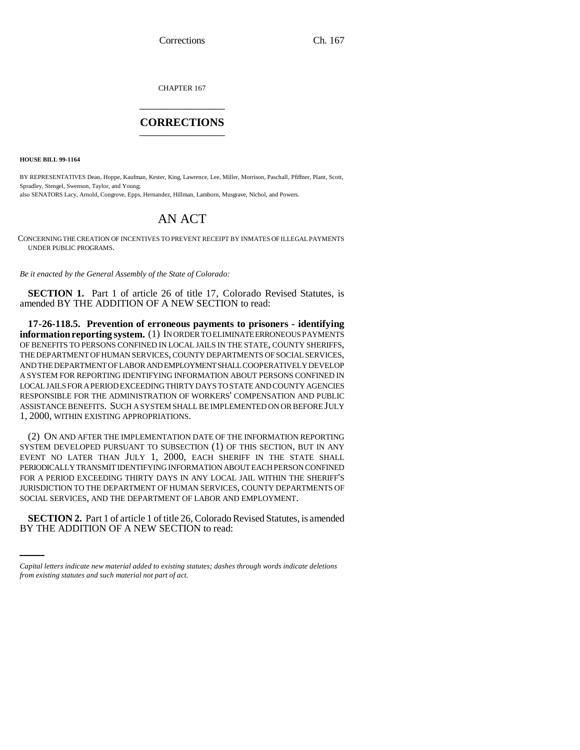Corrections Ch. 167

CHAPTER 167 \_\_\_\_\_\_\_\_\_\_\_\_\_\_\_

## **CORRECTIONS** \_\_\_\_\_\_\_\_\_\_\_\_\_\_\_

**HOUSE BILL 99-1164**

BY REPRESENTATIVES Dean, Hoppe, Kaufman, Kester, King, Lawrence, Lee, Miller, Morrison, Paschall, Pfiffner, Plant, Scott, Spradley, Stengel, Swenson, Taylor, and Young; also SENATORS Lacy, Arnold, Congrove, Epps, Hernandez, Hillman, Lamborn, Musgrave, Nichol, and Powers.

## AN ACT

CONCERNING THE CREATION OF INCENTIVES TO PREVENT RECEIPT BY INMATES OF ILLEGAL PAYMENTS UNDER PUBLIC PROGRAMS.

*Be it enacted by the General Assembly of the State of Colorado:*

**SECTION 1.** Part 1 of article 26 of title 17, Colorado Revised Statutes, is amended BY THE ADDITION OF A NEW SECTION to read:

**17-26-118.5. Prevention of erroneous payments to prisoners - identifying information reporting system.** (1) IN ORDER TO ELIMINATE ERRONEOUS PAYMENTS OF BENEFITS TO PERSONS CONFINED IN LOCAL JAILS IN THE STATE, COUNTY SHERIFFS, THE DEPARTMENT OF HUMAN SERVICES, COUNTY DEPARTMENTS OF SOCIAL SERVICES, AND THE DEPARTMENT OF LABOR AND EMPLOYMENT SHALL COOPERATIVELY DEVELOP A SYSTEM FOR REPORTING IDENTIFYING INFORMATION ABOUT PERSONS CONFINED IN LOCAL JAILS FOR A PERIOD EXCEEDING THIRTY DAYS TO STATE AND COUNTY AGENCIES RESPONSIBLE FOR THE ADMINISTRATION OF WORKERS' COMPENSATION AND PUBLIC ASSISTANCE BENEFITS. SUCH A SYSTEM SHALL BE IMPLEMENTED ON OR BEFORE JULY 1, 2000, WITHIN EXISTING APPROPRIATIONS.

(2) ON AND AFTER THE IMPLEMENTATION DATE OF THE INFORMATION REPORTING SYSTEM DEVELOPED PURSUANT TO SUBSECTION (1) OF THIS SECTION, BUT IN ANY EVENT NO LATER THAN JULY 1, 2000, EACH SHERIFF IN THE STATE SHALL PERIODICALLY TRANSMIT IDENTIFYING INFORMATION ABOUT EACH PERSON CONFINED FOR A PERIOD EXCEEDING THIRTY DAYS IN ANY LOCAL JAIL WITHIN THE SHERIFF'S JURISDICTION TO THE DEPARTMENT OF HUMAN SERVICES, COUNTY DEPARTMENTS OF SOCIAL SERVICES, AND THE DEPARTMENT OF LABOR AND EMPLOYMENT.

**SECTION 2.** Part 1 of article 1 of title 26, Colorado Revised Statutes, is amended BY THE ADDITION OF A NEW SECTION to read:

*Capital letters indicate new material added to existing statutes; dashes through words indicate deletions from existing statutes and such material not part of act.*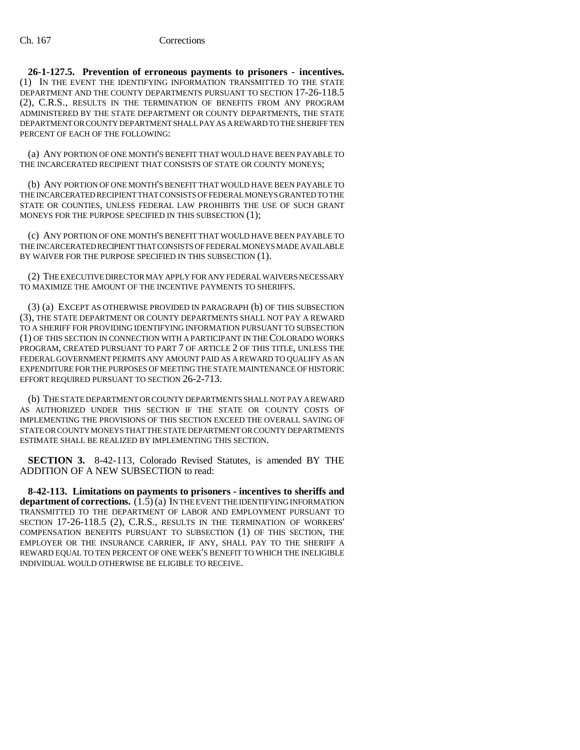**26-1-127.5. Prevention of erroneous payments to prisoners - incentives.** (1) IN THE EVENT THE IDENTIFYING INFORMATION TRANSMITTED TO THE STATE DEPARTMENT AND THE COUNTY DEPARTMENTS PURSUANT TO SECTION 17-26-118.5 (2), C.R.S., RESULTS IN THE TERMINATION OF BENEFITS FROM ANY PROGRAM ADMINISTERED BY THE STATE DEPARTMENT OR COUNTY DEPARTMENTS, THE STATE DEPARTMENT OR COUNTY DEPARTMENT SHALL PAY AS A REWARD TO THE SHERIFF TEN PERCENT OF EACH OF THE FOLLOWING:

(a) ANY PORTION OF ONE MONTH'S BENEFIT THAT WOULD HAVE BEEN PAYABLE TO THE INCARCERATED RECIPIENT THAT CONSISTS OF STATE OR COUNTY MONEYS;

(b) ANY PORTION OF ONE MONTH'S BENEFIT THAT WOULD HAVE BEEN PAYABLE TO THE INCARCERATED RECIPIENT THAT CONSISTS OF FEDERAL MONEYS GRANTED TO THE STATE OR COUNTIES, UNLESS FEDERAL LAW PROHIBITS THE USE OF SUCH GRANT MONEYS FOR THE PURPOSE SPECIFIED IN THIS SUBSECTION (1);

(c) ANY PORTION OF ONE MONTH'S BENEFIT THAT WOULD HAVE BEEN PAYABLE TO THE INCARCERATED RECIPIENT THAT CONSISTS OF FEDERAL MONEYS MADE AVAILABLE BY WAIVER FOR THE PURPOSE SPECIFIED IN THIS SUBSECTION (1).

(2) THE EXECUTIVE DIRECTOR MAY APPLY FOR ANY FEDERAL WAIVERS NECESSARY TO MAXIMIZE THE AMOUNT OF THE INCENTIVE PAYMENTS TO SHERIFFS.

(3) (a) EXCEPT AS OTHERWISE PROVIDED IN PARAGRAPH (b) OF THIS SUBSECTION (3), THE STATE DEPARTMENT OR COUNTY DEPARTMENTS SHALL NOT PAY A REWARD TO A SHERIFF FOR PROVIDING IDENTIFYING INFORMATION PURSUANT TO SUBSECTION (1) OF THIS SECTION IN CONNECTION WITH A PARTICIPANT IN THE COLORADO WORKS PROGRAM, CREATED PURSUANT TO PART 7 OF ARTICLE 2 OF THIS TITLE, UNLESS THE FEDERAL GOVERNMENT PERMITS ANY AMOUNT PAID AS A REWARD TO QUALIFY AS AN EXPENDITURE FOR THE PURPOSES OF MEETING THE STATE MAINTENANCE OF HISTORIC EFFORT REQUIRED PURSUANT TO SECTION 26-2-713.

(b) THE STATE DEPARTMENT OR COUNTY DEPARTMENTS SHALL NOT PAY A REWARD AS AUTHORIZED UNDER THIS SECTION IF THE STATE OR COUNTY COSTS OF IMPLEMENTING THE PROVISIONS OF THIS SECTION EXCEED THE OVERALL SAVING OF STATE OR COUNTY MONEYS THAT THE STATE DEPARTMENT OR COUNTY DEPARTMENTS ESTIMATE SHALL BE REALIZED BY IMPLEMENTING THIS SECTION.

**SECTION 3.** 8-42-113, Colorado Revised Statutes, is amended BY THE ADDITION OF A NEW SUBSECTION to read:

**8-42-113. Limitations on payments to prisoners - incentives to sheriffs and department of corrections.**  $(\overline{1}.\overline{5})$  (a) IN THE EVENT THE IDENTIFYING INFORMATION TRANSMITTED TO THE DEPARTMENT OF LABOR AND EMPLOYMENT PURSUANT TO SECTION 17-26-118.5 (2), C.R.S., RESULTS IN THE TERMINATION OF WORKERS' COMPENSATION BENEFITS PURSUANT TO SUBSECTION (1) OF THIS SECTION, THE EMPLOYER OR THE INSURANCE CARRIER, IF ANY, SHALL PAY TO THE SHERIFF A REWARD EQUAL TO TEN PERCENT OF ONE WEEK'S BENEFIT TO WHICH THE INELIGIBLE INDIVIDUAL WOULD OTHERWISE BE ELIGIBLE TO RECEIVE.